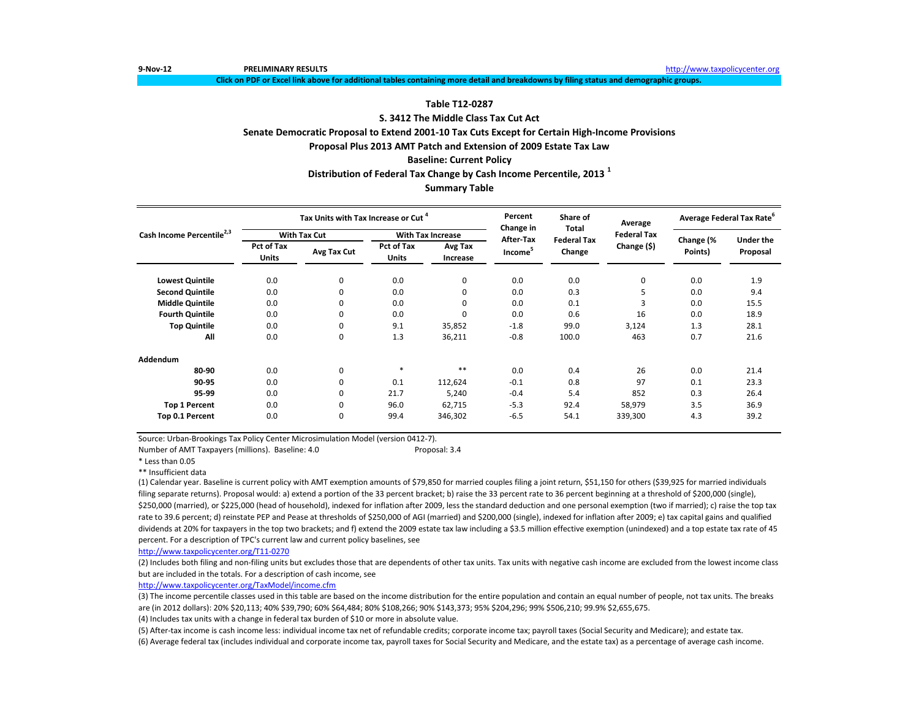**9-Nov-12 PRELIMINARY RESULTS** [http://www.ta](http://www.taxpolicycenter.org/)xpolicycenter.org

**Click on PDF or Excel link above for additional tables containing more detail and breakdowns by filing status and demographic groups.**

# **Table T12-0287**

# **S. 3412 The Middle Class Tax Cut Act**

## **Senate Democratic Proposal to Extend 2001-10 Tax Cuts Except for Certain High-Income Provisions**

**Proposal Plus 2013 AMT Patch and Extension of 2009 Estate Tax Law**

### **Baseline: Current Policy**

# **Distribution of Federal Tax Change by Cash Income Percentile, 2013 <sup>1</sup>**

# **Summary Table**

|                                       |                     | Tax Units with Tax Increase or Cut <sup>4</sup> |                            |                          | Percent<br>Change in | Share of<br>Total            | Average            | Average Federal Tax Rate <sup>b</sup> |                              |  |
|---------------------------------------|---------------------|-------------------------------------------------|----------------------------|--------------------------|----------------------|------------------------------|--------------------|---------------------------------------|------------------------------|--|
| Cash Income Percentile <sup>2,3</sup> |                     | <b>With Tax Cut</b>                             |                            | <b>With Tax Increase</b> | After-Tax            |                              | <b>Federal Tax</b> |                                       |                              |  |
|                                       | Pct of Tax<br>Units | Avg Tax Cut                                     | Pct of Tax<br><b>Units</b> | Avg Tax<br>Increase      | Income <sup>5</sup>  | <b>Federal Tax</b><br>Change | Change (\$)        | Change (%<br>Points)                  | <b>Under the</b><br>Proposal |  |
| <b>Lowest Quintile</b>                | 0.0                 | 0                                               | 0.0                        | 0                        | 0.0                  | 0.0                          | 0                  | 0.0                                   | 1.9                          |  |
| <b>Second Quintile</b>                | 0.0                 | 0                                               | 0.0                        | 0                        | 0.0                  | 0.3                          | 5                  | 0.0                                   | 9.4                          |  |
| <b>Middle Quintile</b>                | 0.0                 | 0                                               | 0.0                        | 0                        | 0.0                  | 0.1                          | 3                  | 0.0                                   | 15.5                         |  |
| <b>Fourth Quintile</b>                | 0.0                 | 0                                               | 0.0                        | 0                        | 0.0                  | 0.6                          | 16                 | 0.0                                   | 18.9                         |  |
| <b>Top Quintile</b>                   | 0.0                 | 0                                               | 9.1                        | 35,852                   | $-1.8$               | 99.0                         | 3,124              | 1.3                                   | 28.1                         |  |
| All                                   | 0.0                 | 0                                               | 1.3                        | 36,211                   | $-0.8$               | 100.0                        | 463                | 0.7                                   | 21.6                         |  |
| Addendum                              |                     |                                                 |                            |                          |                      |                              |                    |                                       |                              |  |
| 80-90                                 | 0.0                 | 0                                               | $\ast$                     | $* *$                    | 0.0                  | 0.4                          | 26                 | 0.0                                   | 21.4                         |  |
| 90-95                                 | 0.0                 | 0                                               | 0.1                        | 112,624                  | $-0.1$               | 0.8                          | 97                 | 0.1                                   | 23.3                         |  |
| 95-99                                 | 0.0                 | 0                                               | 21.7                       | 5,240                    | $-0.4$               | 5.4                          | 852                | 0.3                                   | 26.4                         |  |
| <b>Top 1 Percent</b>                  | 0.0                 | 0                                               | 96.0                       | 62,715                   | $-5.3$               | 92.4                         | 58,979             | 3.5                                   | 36.9                         |  |
| Top 0.1 Percent                       | 0.0                 | 0                                               | 99.4                       | 346,302                  | $-6.5$               | 54.1                         | 339,300            | 4.3                                   | 39.2                         |  |

Source: Urban-Brookings Tax Policy Center Microsimulation Model (version 0412-7).

Number of AMT Taxpayers (millions). Baseline: 4.0 Proposal: 3.4

\* Less than 0.05

\*\* Insufficient data

(1) Calendar year. Baseline is current policy with AMT exemption amounts of \$79,850 for married couples filing a joint return, \$51,150 for others (\$39,925 for married individuals filing separate returns). Proposal would: a) extend a portion of the 33 percent bracket; b) raise the 33 percent rate to 36 percent beginning at a threshold of \$200,000 (single), \$250,000 (married), or \$225,000 (head of household), indexed for inflation after 2009, less the standard deduction and one personal exemption (two if married); c) raise the top tax rate to 39.6 percent; d) reinstate PEP and Pease at thresholds of \$250,000 of AGI (married) and \$200,000 (single), indexed for inflation after 2009; e) tax capital gains and qualified dividends at 20% for taxpayers in the top two brackets; and f) extend the 2009 estate tax law including a \$3.5 million effective exemption (unindexed) and a top estate tax rate of 45 percent. For a description of TPC's current law and current policy baselines, see

[http://www.taxpolicycente](http://www.taxpolicycenter.org/T11-0270)r.org/T11-0270

(2) Includes both filing and non-filing units but excludes those that are dependents of other tax units. Tax units with negative cash income are excluded from the lowest income class but are included in the totals. For a description of cash income, see

[http://www.taxpolicycente](http://www.taxpolicycenter.org/TaxModel/income.cfm)r.org/TaxModel/income.cfm

(3) The income percentile classes used in this table are based on the income distribution for the entire population and contain an equal number of people, not tax units. The breaks are (in 2012 dollars): 20% \$20,113; 40% \$39,790; 60% \$64,484; 80% \$108,266; 90% \$143,373; 95% \$204,296; 99% \$506,210; 99.9% \$2,655,675.

(4) Includes tax units with a change in federal tax burden of \$10 or more in absolute value.

(6) Average federal tax (includes individual and corporate income tax, payroll taxes for Social Security and Medicare, and the estate tax) as a percentage of average cash income. (5) After-tax income is cash income less: individual income tax net of refundable credits; corporate income tax; payroll taxes (Social Security and Medicare); and estate tax.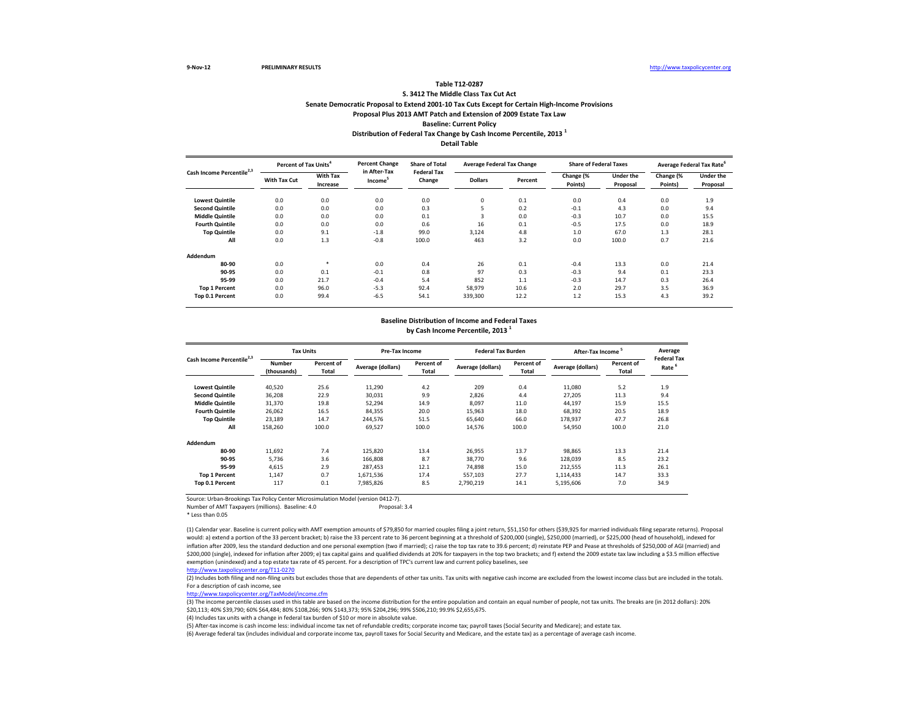# **Distribution of Federal Tax Change by Cash Income Percentile, 2013 <sup>1</sup> Table T12-0287 S. 3412 The Middle Class Tax Cut Act Senate Democratic Proposal to Extend 2001-10 Tax Cuts Except for Certain High-Income Provisions Proposal Plus 2013 AMT Patch and Extension of 2009 Estate Tax Law Baseline: Current Policy**

**Detail Table**

| Cash Income Percentile <sup>2,3</sup> | Percent of Tax Units <sup>4</sup> |                      | <b>Percent Change</b>               | <b>Share of Total</b><br><b>Federal Tax</b> | <b>Average Federal Tax Change</b> |         | <b>Share of Federal Taxes</b> |                              | Average Federal Tax Rate <sup>6</sup> |                              |
|---------------------------------------|-----------------------------------|----------------------|-------------------------------------|---------------------------------------------|-----------------------------------|---------|-------------------------------|------------------------------|---------------------------------------|------------------------------|
|                                       | With Tax Cut                      | With Tax<br>Increase | in After-Tax<br>Income <sup>5</sup> | Change                                      | <b>Dollars</b>                    | Percent | Change (%<br>Points)          | <b>Under the</b><br>Proposal | Change (%<br>Points)                  | <b>Under the</b><br>Proposal |
| <b>Lowest Quintile</b>                | 0.0                               | 0.0                  | 0.0                                 | 0.0                                         | $\mathbf 0$                       | 0.1     | 0.0                           | 0.4                          | 0.0                                   | 1.9                          |
| <b>Second Quintile</b>                | 0.0                               | 0.0                  | 0.0                                 | 0.3                                         |                                   | 0.2     | $-0.1$                        | 4.3                          | 0.0                                   | 9.4                          |
| <b>Middle Quintile</b>                | 0.0                               | 0.0                  | 0.0                                 | 0.1                                         | 3                                 | 0.0     | $-0.3$                        | 10.7                         | 0.0                                   | 15.5                         |
| <b>Fourth Quintile</b>                | 0.0                               | 0.0                  | 0.0                                 | 0.6                                         | 16                                | 0.1     | $-0.5$                        | 17.5                         | 0.0                                   | 18.9                         |
| <b>Top Quintile</b>                   | 0.0                               | 9.1                  | $-1.8$                              | 99.0                                        | 3.124                             | 4.8     | 1.0                           | 67.0                         | 1.3                                   | 28.1                         |
| All                                   | 0.0                               | 1.3                  | $-0.8$                              | 100.0                                       | 463                               | 3.2     | 0.0                           | 100.0                        | 0.7                                   | 21.6                         |
| Addendum                              |                                   |                      |                                     |                                             |                                   |         |                               |                              |                                       |                              |
| 80-90                                 | 0.0                               | $\ast$               | 0.0                                 | 0.4                                         | 26                                | 0.1     | $-0.4$                        | 13.3                         | 0.0                                   | 21.4                         |
| 90-95                                 | 0.0                               | 0.1                  | $-0.1$                              | 0.8                                         | 97                                | 0.3     | $-0.3$                        | 9.4                          | 0.1                                   | 23.3                         |
| 95-99                                 | 0.0                               | 21.7                 | $-0.4$                              | 5.4                                         | 852                               | 1.1     | $-0.3$                        | 14.7                         | 0.3                                   | 26.4                         |
| <b>Top 1 Percent</b>                  | 0.0                               | 96.0                 | $-5.3$                              | 92.4                                        | 58,979                            | 10.6    | 2.0                           | 29.7                         | 3.5                                   | 36.9                         |
| Top 0.1 Percent                       | 0.0                               | 99.4                 | $-6.5$                              | 54.1                                        | 339,300                           | 12.2    | 1.2                           | 15.3                         | 4.3                                   | 39.2                         |

### **Baseline Distribution of Income and Federal Taxes**

**by Cash Income Percentile, 2013 <sup>1</sup>**

| Cash Income Percentile <sup>2,3</sup> |                       | <b>Tax Units</b>    |                   | Pre-Tax Income      |                   | <b>Federal Tax Burden</b> | After-Tax Income <sup>5</sup> |                     | Average<br><b>Federal Tax</b> |
|---------------------------------------|-----------------------|---------------------|-------------------|---------------------|-------------------|---------------------------|-------------------------------|---------------------|-------------------------------|
|                                       | Number<br>(thousands) | Percent of<br>Total | Average (dollars) | Percent of<br>Total | Average (dollars) | Percent of<br>Total       | Average (dollars)             | Percent of<br>Total | Rate <sup>6</sup>             |
| <b>Lowest Quintile</b>                | 40,520                | 25.6                | 11,290            | 4.2                 | 209               | 0.4                       | 11,080                        | 5.2                 | 1.9                           |
| <b>Second Quintile</b>                | 36,208                | 22.9                | 30,031            | 9.9                 | 2,826             | 4.4                       | 27,205                        | 11.3                | 9.4                           |
| <b>Middle Quintile</b>                | 31,370                | 19.8                | 52.294            | 14.9                | 8,097             | 11.0                      | 44,197                        | 15.9                | 15.5                          |
| <b>Fourth Quintile</b>                | 26,062                | 16.5                | 84,355            | 20.0                | 15,963            | 18.0                      | 68,392                        | 20.5                | 18.9                          |
| <b>Top Quintile</b>                   | 23,189                | 14.7                | 244.576           | 51.5                | 65.640            | 66.0                      | 178.937                       | 47.7                | 26.8                          |
| All                                   | 158,260               | 100.0               | 69,527            | 100.0               | 14,576            | 100.0                     | 54,950                        | 100.0               | 21.0                          |
| Addendum                              |                       |                     |                   |                     |                   |                           |                               |                     |                               |
| 80-90                                 | 11,692                | 7.4                 | 125,820           | 13.4                | 26,955            | 13.7                      | 98,865                        | 13.3                | 21.4                          |
| 90-95                                 | 5.736                 | 3.6                 | 166,808           | 8.7                 | 38.770            | 9.6                       | 128,039                       | 8.5                 | 23.2                          |
| 95-99                                 | 4.615                 | 2.9                 | 287.453           | 12.1                | 74.898            | 15.0                      | 212.555                       | 11.3                | 26.1                          |
| <b>Top 1 Percent</b>                  | 1.147                 | 0.7                 | 1,671,536         | 17.4                | 557,103           | 27.7                      | 1,114,433                     | 14.7                | 33.3                          |
| Top 0.1 Percent                       | 117                   | 0.1                 | 7,985,826         | 8.5                 | 2.790.219         | 14.1                      | 5,195,606                     | 7.0                 | 34.9                          |

Source: Urban-Brookings Tax Policy Center Microsimulation Model (version 0412-7). Number of AMT Taxpayers (millions). Baseline: 4.0

\* Less than 0.05

(1) Calendar year. Baseline is current policy with AMT exemption amounts of \$79,850 for married couples filing a joint return, \$51,150 for others (\$39,925 for married individuals filing separate returns). Proposal would: a) extend a portion of the 33 percent bracket; b) raise the 33 percent rate to 36 percent beginning at a threshold of \$200,000 (single), \$250,000 (married), or \$225,000 (head of household), indexed for inflation after 2009, less the standard deduction and one personal exemption (two if married); c) raise the top tax rate to 39.6 percent; d) reinstate PEP and Pease at thresholds of \$250,000 of AGI (married) and \$200,000 (single), indexed for inflation after 2009; e) tax capital gains and qualified dividends at 20% for taxpayers in the top two brackets; and f) extend the 2009 estate tax law including a \$3.5 million effective exemption (unindexed) and a top estate tax rate of 45 percent. For a description of TPC's current law and current policy baselines, see

[http://www.taxpolicycente](http://www.taxpolicycenter.org/T11-0270)r.org/T11-0270

(2) Includes both filing and non-filing units but excludes those that are dependents of other tax units. Tax units with negative cash income are excluded from the lowest income class but are included in the totals. For a description of cash income, see

[http://www.taxpolicycente](http://www.taxpolicycenter.org/TaxModel/income.cfm)r.org/TaxModel/income.cfm

(3) The income percentile classes used in this table are based on the income distribution for the entire population and contain an equal number of people, not tax units. The breaks are (in 2012 dollars): 20% \$20,113; 40% \$39,790; 60% \$64,484; 80% \$108,266; 90% \$143,373; 95% \$204,296; 99% \$506,210; 99.9% \$2,655,675.

(4) Includes tax units with a change in federal tax burden of \$10 or more in absolute value.

(5) After-tax income is cash income less: individual income tax net of refundable credits; corporate income tax; payroll taxes (Social Security and Medicare); and estate tax.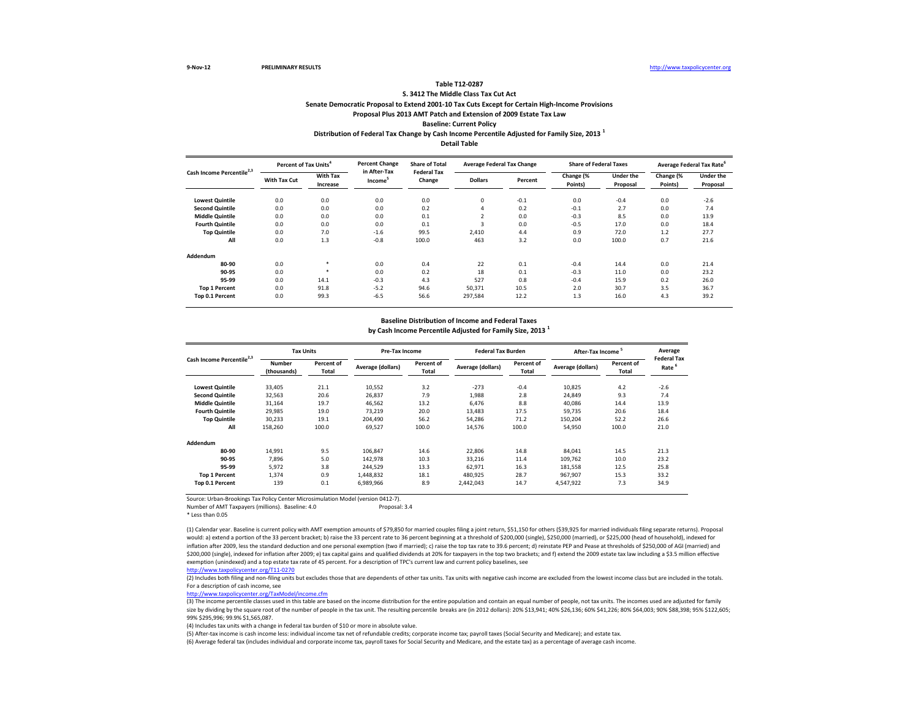# **Distribution of Federal Tax Change by Cash Income Percentile Adjusted for Family Size, 2013 <sup>1</sup> Table T12-0287 S. 3412 The Middle Class Tax Cut Act Senate Democratic Proposal to Extend 2001-10 Tax Cuts Except for Certain High-Income Provisions Proposal Plus 2013 AMT Patch and Extension of 2009 Estate Tax Law Baseline: Current Policy**

**Detail Table**

| Cash Income Percentile <sup>2,3</sup> | Percent of Tax Units <sup>4</sup> |                      | <b>Percent Change</b>               | <b>Share of Total</b><br><b>Federal Tax</b> | <b>Average Federal Tax Change</b> |         | <b>Share of Federal Taxes</b> |                              | Average Federal Tax Rate <sup>o</sup> |                              |
|---------------------------------------|-----------------------------------|----------------------|-------------------------------------|---------------------------------------------|-----------------------------------|---------|-------------------------------|------------------------------|---------------------------------------|------------------------------|
|                                       | With Tax Cut                      | With Tax<br>Increase | in After-Tax<br>Income <sup>5</sup> | Change                                      | <b>Dollars</b>                    | Percent | Change (%<br>Points)          | <b>Under the</b><br>Proposal | Change (%<br>Points)                  | <b>Under the</b><br>Proposal |
| <b>Lowest Quintile</b>                | 0.0                               | 0.0                  | 0.0                                 | 0.0                                         | $\mathbf 0$                       | $-0.1$  | 0.0                           | $-0.4$                       | 0.0                                   | $-2.6$                       |
| <b>Second Quintile</b>                | 0.0                               | 0.0                  | 0.0                                 | 0.2                                         | 4                                 | 0.2     | $-0.1$                        | 2.7                          | 0.0                                   | 7.4                          |
| <b>Middle Quintile</b>                | 0.0                               | 0.0                  | 0.0                                 | 0.1                                         | $\overline{2}$                    | 0.0     | $-0.3$                        | 8.5                          | 0.0                                   | 13.9                         |
| <b>Fourth Quintile</b>                | 0.0                               | 0.0                  | 0.0                                 | 0.1                                         | 3                                 | 0.0     | $-0.5$                        | 17.0                         | 0.0                                   | 18.4                         |
| <b>Top Quintile</b>                   | 0.0                               | 7.0                  | $-1.6$                              | 99.5                                        | 2.410                             | 4.4     | 0.9                           | 72.0                         | 1.2                                   | 27.7                         |
| All                                   | 0.0                               | 1.3                  | $-0.8$                              | 100.0                                       | 463                               | 3.2     | 0.0                           | 100.0                        | 0.7                                   | 21.6                         |
| Addendum                              |                                   |                      |                                     |                                             |                                   |         |                               |                              |                                       |                              |
| 80-90                                 | 0.0                               | $\ast$               | 0.0                                 | 0.4                                         | 22                                | 0.1     | $-0.4$                        | 14.4                         | 0.0                                   | 21.4                         |
| 90-95                                 | 0.0                               | $\ast$               | 0.0                                 | 0.2                                         | 18                                | 0.1     | $-0.3$                        | 11.0                         | 0.0                                   | 23.2                         |
| 95-99                                 | 0.0                               | 14.1                 | $-0.3$                              | 4.3                                         | 527                               | 0.8     | $-0.4$                        | 15.9                         | 0.2                                   | 26.0                         |
| <b>Top 1 Percent</b>                  | 0.0                               | 91.8                 | $-5.2$                              | 94.6                                        | 50.371                            | 10.5    | 2.0                           | 30.7                         | 3.5                                   | 36.7                         |
| Top 0.1 Percent                       | 0.0                               | 99.3                 | $-6.5$                              | 56.6                                        | 297,584                           | 12.2    | 1.3                           | 16.0                         | 4.3                                   | 39.2                         |

#### **Baseline Distribution of Income and Federal Taxes**

**by Cash Income Percentile Adjusted for Family Size, 2013 <sup>1</sup>**

| Cash Income Percentile <sup>2,3</sup> |                       | <b>Tax Units</b>    |                   | Pre-Tax Income      |                   | <b>Federal Tax Burden</b> | After-Tax Income <sup>5</sup> |                            | Average<br><b>Federal Tax</b> |
|---------------------------------------|-----------------------|---------------------|-------------------|---------------------|-------------------|---------------------------|-------------------------------|----------------------------|-------------------------------|
|                                       | Number<br>(thousands) | Percent of<br>Total | Average (dollars) | Percent of<br>Total | Average (dollars) | Percent of<br>Total       | Average (dollars)             | Percent of<br><b>Total</b> | Rate <sup>6</sup>             |
| <b>Lowest Quintile</b>                | 33,405                | 21.1                | 10,552            | 3.2                 | $-273$            | $-0.4$                    | 10,825                        | 4.2                        | $-2.6$                        |
| <b>Second Quintile</b>                | 32,563                | 20.6                | 26,837            | 7.9                 | 1,988             | 2.8                       | 24,849                        | 9.3                        | 7.4                           |
| <b>Middle Quintile</b>                | 31,164                | 19.7                | 46,562            | 13.2                | 6,476             | 8.8                       | 40,086                        | 14.4                       | 13.9                          |
| <b>Fourth Quintile</b>                | 29,985                | 19.0                | 73.219            | 20.0                | 13,483            | 17.5                      | 59,735                        | 20.6                       | 18.4                          |
| <b>Top Quintile</b>                   | 30,233                | 19.1                | 204.490           | 56.2                | 54,286            | 71.2                      | 150,204                       | 52.2                       | 26.6                          |
| All                                   | 158,260               | 100.0               | 69,527            | 100.0               | 14,576            | 100.0                     | 54,950                        | 100.0                      | 21.0                          |
| Addendum                              |                       |                     |                   |                     |                   |                           |                               |                            |                               |
| 80-90                                 | 14,991                | 9.5                 | 106.847           | 14.6                | 22,806            | 14.8                      | 84,041                        | 14.5                       | 21.3                          |
| 90-95                                 | 7,896                 | 5.0                 | 142,978           | 10.3                | 33,216            | 11.4                      | 109,762                       | 10.0                       | 23.2                          |
| 95-99                                 | 5,972                 | 3.8                 | 244,529           | 13.3                | 62,971            | 16.3                      | 181,558                       | 12.5                       | 25.8                          |
| <b>Top 1 Percent</b>                  | 1,374                 | 0.9                 | 1,448,832         | 18.1                | 480,925           | 28.7                      | 967,907                       | 15.3                       | 33.2                          |
| Top 0.1 Percent                       | 139                   | 0.1                 | 6,989,966         | 8.9                 | 2,442,043         | 14.7                      | 4,547,922                     | 7.3                        | 34.9                          |

Source: Urban-Brookings Tax Policy Center Microsimulation Model (version 0412-7). Number of AMT Taxpayers (millions). Baseline: 4.0

\* Less than 0.05

(1) Calendar year. Baseline is current policy with AMT exemption amounts of \$79,850 for married couples filing a joint return, \$51,150 for others (\$39,925 for married individuals filing separate returns). Proposal would: a) extend a portion of the 33 percent bracket; b) raise the 33 percent rate to 36 percent beginning at a threshold of \$200,000 (single), \$250,000 (married), or \$225,000 (head of household), indexed for inflation after 2009, less the standard deduction and one personal exemption (two if married); c) raise the top tax rate to 39.6 percent; d) reinstate PEP and Pease at thresholds of \$250,000 of AGI (married) and \$200,000 (single), indexed for inflation after 2009; e) tax capital gains and qualified dividends at 20% for taxpayers in the top two brackets; and f) extend the 2009 estate tax law including a \$3.5 million effective exemption (unindexed) and a top estate tax rate of 45 percent. For a description of TPC's current law and current policy baselines, see

[http://www.taxpolicycente](http://www.taxpolicycenter.org/T11-0270)r.org/T11-0270

(2) Includes both filing and non-filing units but excludes those that are dependents of other tax units. Tax units with negative cash income are excluded from the lowest income class but are included in the totals. For a description of cash income, see

[http://www.taxpolicycente](http://www.taxpolicycenter.org/TaxModel/income.cfm)r.org/TaxModel/income.cfm

(3) The income percentile classes used in this table are based on the income distribution for the entire population and contain an equal number of people, not tax units. The incomes used are adjusted for family size by dividing by the square root of the number of people in the tax unit. The resulting percentile breaks are (in 2012 dollars): 20% \$13,941; 40% \$26,136; 60% \$41,226; 80% \$44,003; 90% \$88,398; 95% \$122,605; 99% \$295,996; 99.9% \$1,565,087.

(4) Includes tax units with a change in federal tax burden of \$10 or more in absolute value.

(5) After-tax income is cash income less: individual income tax net of refundable credits; corporate income tax; payroll taxes (Social Security and Medicare); and estate tax.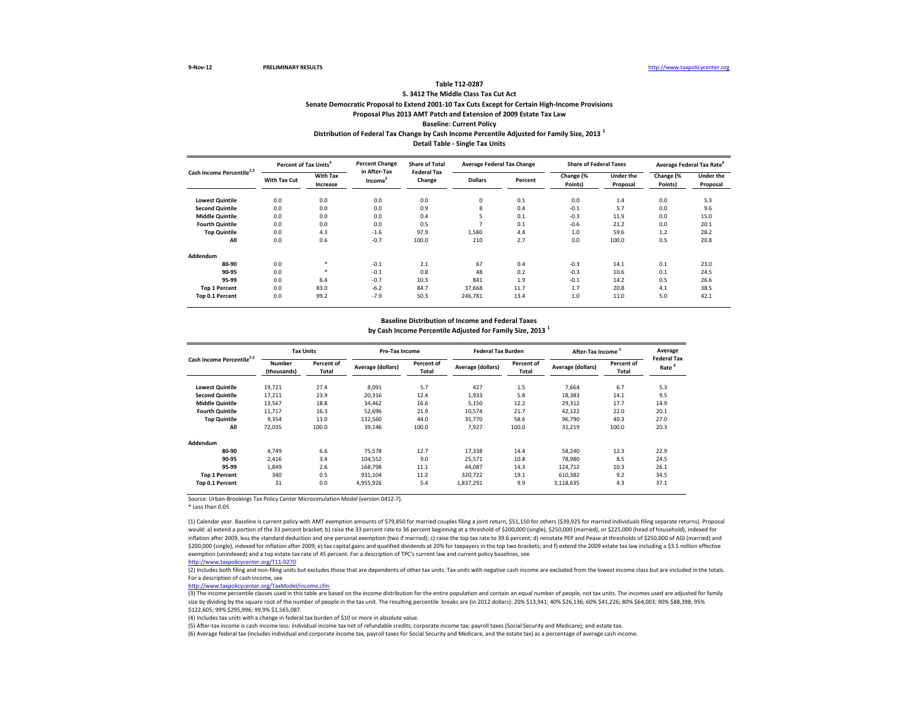### **Distribution of Federal Tax Change by Cash Income Percentile Adjusted for Family Size, 2013 <sup>1</sup> Detail Table - Single Tax Units Table T12-0287 S. 3412 The Middle Class Tax Cut Act Senate Democratic Proposal to Extend 2001-10 Tax Cuts Except for Certain High-Income Provisions Proposal Plus 2013 AMT Patch and Extension of 2009 Estate Tax Law Baseline: Current Policy**

| Cash Income Percentile <sup>2,3</sup> | Percent of Tax Units <sup>4</sup> |                             | <b>Percent Change</b>               | <b>Share of Total</b><br><b>Federal Tax</b> | <b>Average Federal Tax Change</b> |         | <b>Share of Federal Taxes</b> |                       | Average Federal Tax Rate <sup>6</sup> |                              |
|---------------------------------------|-----------------------------------|-----------------------------|-------------------------------------|---------------------------------------------|-----------------------------------|---------|-------------------------------|-----------------------|---------------------------------------|------------------------------|
|                                       | With Tax Cut                      | <b>With Tax</b><br>Increase | in After-Tax<br>Income <sup>5</sup> | Change                                      | <b>Dollars</b>                    | Percent | Change (%<br>Points)          | Under the<br>Proposal | Change (%<br>Points)                  | <b>Under the</b><br>Proposal |
| <b>Lowest Quintile</b>                | 0.0                               | 0.0                         | 0.0                                 | 0.0                                         | 0                                 | 0.1     | 0.0                           | 1.4                   | 0.0                                   | 5.3                          |
| <b>Second Quintile</b>                | 0.0                               | 0.0                         | 0.0                                 | 0.9                                         | 8                                 | 0.4     | $-0.1$                        | 5.7                   | 0.0                                   | 9.6                          |
| <b>Middle Quintile</b>                | 0.0                               | 0.0                         | 0.0                                 | 0.4                                         | 5                                 | 0.1     | $-0.3$                        | 11.9                  | 0.0                                   | 15.0                         |
| <b>Fourth Quintile</b>                | 0.0                               | 0.0                         | 0.0                                 | 0.5                                         | ∍                                 | 0.1     | $-0.6$                        | 21.2                  | 0.0                                   | 20.1                         |
| <b>Top Quintile</b>                   | 0.0                               | 4.3                         | $-1.6$                              | 97.9                                        | 1,580                             | 4.4     | 1.0                           | 59.6                  | $1.2$                                 | 28.2                         |
| All                                   | 0.0                               | 0.6                         | $-0.7$                              | 100.0                                       | 210                               | 2.7     | 0.0                           | 100.0                 | 0.5                                   | 20.8                         |
| Addendum                              |                                   |                             |                                     |                                             |                                   |         |                               |                       |                                       |                              |
| 80-90                                 | 0.0                               | $\ast$                      | $-0.1$                              | 2.1                                         | 67                                | 0.4     | $-0.3$                        | 14.1                  | 0.1                                   | 23.0                         |
| 90-95                                 | 0.0                               | $\ast$                      | $-0.1$                              | 0.8                                         | 48                                | 0.2     | $-0.3$                        | 10.6                  | 0.1                                   | 24.5                         |
| 95-99                                 | 0.0                               | 6.4                         | $-0.7$                              | 10.3                                        | 841                               | 1.9     | $-0.1$                        | 14.2                  | 0.5                                   | 26.6                         |
| <b>Top 1 Percent</b>                  | 0.0                               | 83.0                        | $-6.2$                              | 84.7                                        | 37.668                            | 11.7    | 1.7                           | 20.8                  | 4.1                                   | 38.5                         |
| Top 0.1 Percent                       | 0.0                               | 99.2                        | $-7.9$                              | 50.3                                        | 246,781                           | 13.4    | 1.0                           | 11.0                  | 5.0                                   | 42.1                         |

#### **Baseline Distribution of Income and Federal Taxes**

**by Cash Income Percentile Adjusted for Family Size, 2013 <sup>1</sup>**

| Cash Income Percentile <sup>2,3</sup> |                       | <b>Tax Units</b>    |                   | Pre-Tax Income      |                   | <b>Federal Tax Burden</b> | After-Tax Income <sup>5</sup> |                     | Average                                 |
|---------------------------------------|-----------------------|---------------------|-------------------|---------------------|-------------------|---------------------------|-------------------------------|---------------------|-----------------------------------------|
|                                       | Number<br>(thousands) | Percent of<br>Total | Average (dollars) | Percent of<br>Total | Average (dollars) | Percent of<br>Total       | Average (dollars)             | Percent of<br>Total | <b>Federal Tax</b><br>Rate <sup>6</sup> |
| <b>Lowest Quintile</b>                | 19,721                | 27.4                | 8,091             | 5.7                 | 427               | 1.5                       | 7.664                         | 6.7                 | 5.3                                     |
| <b>Second Quintile</b>                | 17,211                | 23.9                | 20,316            | 12.4                | 1,933             | 5.8                       | 18,383                        | 14.1                | 9.5                                     |
| <b>Middle Quintile</b>                | 13,567                | 18.8                | 34,462            | 16.6                | 5,150             | 12.2                      | 29,312                        | 17.7                | 14.9                                    |
| <b>Fourth Quintile</b>                | 11,717                | 16.3                | 52,696            | 21.9                | 10,574            | 21.7                      | 42,122                        | 22.0                | 20.1                                    |
| <b>Top Quintile</b>                   | 9,354                 | 13.0                | 132,560           | 44.0                | 35,770            | 58.6                      | 96,790                        | 40.3                | 27.0                                    |
| All                                   | 72,035                | 100.0               | 39,146            | 100.0               | 7,927             | 100.0                     | 31,219                        | 100.0               | 20.3                                    |
| Addendum                              |                       |                     |                   |                     |                   |                           |                               |                     |                                         |
| 80-90                                 | 4,749                 | 6.6                 | 75,578            | 12.7                | 17,338            | 14.4                      | 58,240                        | 12.3                | 22.9                                    |
| 90-95                                 | 2,416                 | 3.4                 | 104,552           | 9.0                 | 25,571            | 10.8                      | 78,980                        | 8.5                 | 24.5                                    |
| 95-99                                 | 1,849                 | 2.6                 | 168,798           | 11.1                | 44,087            | 14.3                      | 124,712                       | 10.3                | 26.1                                    |
| <b>Top 1 Percent</b>                  | 340                   | 0.5                 | 931,104           | 11.2                | 320,722           | 19.1                      | 610,382                       | 9.2                 | 34.5                                    |
| Top 0.1 Percent                       | 31                    | 0.0                 | 4,955,926         | 5.4                 | 1,837,291         | 9.9                       | 3,118,635                     | 4.3                 | 37.1                                    |

Source: Urban-Brookings Tax Policy Center Microsimulation Model (version 0412-7).

\* Less than 0.05

(1) Calendar year. Baseline is current policy with AMT exemption amounts of \$79,850 for married couples filing a joint return, \$51,150 for others (\$39,925 for married individuals filing separate returns). Proposal would: a) extend a portion of the 33 percent bracket; b) raise the 33 percent rate to 36 percent beginning at a threshold of \$200,000 (single), \$250,000 (married), or \$225,000 (head of household), indexed for inflation after 2009, less the standard deduction and one personal exemption (two if married); c) raise the top tax rate to 39.6 percent; d) reinstate PEP and Pease at thresholds of \$250,000 of AGI (married) and \$200,000 (single), indexed for inflation after 2009; e) tax capital gains and qualified dividends at 20% for taxpayers in the top two brackets; and f) extend the 2009 estate tax law including a \$3.5 million effective exemption (unindexed) and a top estate tax rate of 45 percent. For a description of TPC's current law and current policy baselines, see

[http://www.taxpolicycente](http://www.taxpolicycenter.org/T11-0270)r.org/T11-0270

(2) Includes both filing and non-filing units but excludes those that are dependents of other tax units. Tax units with negative cash income are excluded from the lowest income class but are included in the totals. For a description of cash income, see

[http://www.taxpolicycente](http://www.taxpolicycenter.org/TaxModel/income.cfm)r.org/TaxModel/income.cfm

(3) The income percentile classes used in this table are based on the income distribution for the entire population and contain an equal number of people, not tax units. The incomes used are adjusted for family size by dividing by the square root of the number of people in the tax unit. The resulting percentile breaks are (in 2012 dollars): 20% \$13,941; 40% \$26,136; 60% \$41,226; 80% \$64,003; 90% \$88,398; 95% \$122,605; 99% \$295,996; 99.9% \$1,565,087.

(4) Includes tax units with a change in federal tax burden of \$10 or more in absolute value.

(5) After-tax income is cash income less: individual income tax net of refundable credits; corporate income tax; payroll taxes (Social Security and Medicare); and estate tax.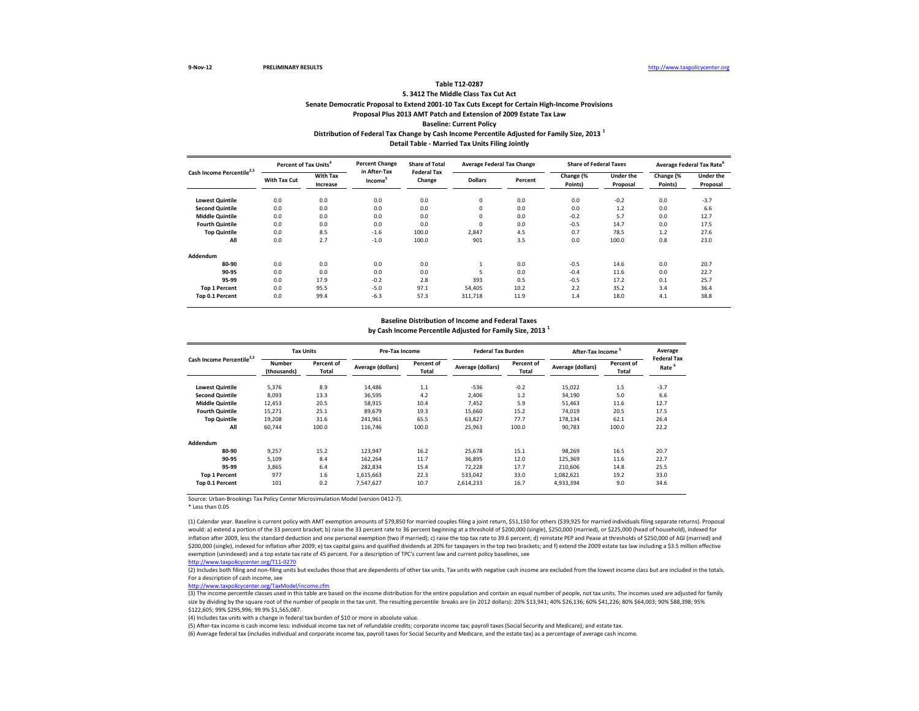### **Distribution of Federal Tax Change by Cash Income Percentile Adjusted for Family Size, 2013 <sup>1</sup> Detail Table - Married Tax Units Filing Jointly Table T12-0287 S. 3412 The Middle Class Tax Cut Act Senate Democratic Proposal to Extend 2001-10 Tax Cuts Except for Certain High-Income Provisions Proposal Plus 2013 AMT Patch and Extension of 2009 Estate Tax Law Baseline: Current Policy**

| Cash Income Percentile <sup>2,3</sup> |              | Percent of Tax Units <sup>4</sup> |                                     | <b>Percent Change</b><br><b>Share of Total</b><br><b>Federal Tax</b> | <b>Average Federal Tax Change</b> |         | <b>Share of Federal Taxes</b> |                       |                      | Average Federal Tax Rate <sup>6</sup> |
|---------------------------------------|--------------|-----------------------------------|-------------------------------------|----------------------------------------------------------------------|-----------------------------------|---------|-------------------------------|-----------------------|----------------------|---------------------------------------|
|                                       | With Tax Cut | With Tax<br>Increase              | in After-Tax<br>Income <sup>5</sup> | Change                                                               | <b>Dollars</b>                    | Percent | Change (%<br>Points)          | Under the<br>Proposal | Change (%<br>Points) | <b>Under the</b><br>Proposal          |
| <b>Lowest Quintile</b>                | 0.0          | 0.0                               | 0.0                                 | 0.0                                                                  | 0                                 | 0.0     | 0.0                           | $-0.2$                | 0.0                  | $-3.7$                                |
| <b>Second Quintile</b>                | 0.0          | 0.0                               | 0.0                                 | 0.0                                                                  | $\mathbf 0$                       | 0.0     | 0.0                           | 1.2                   | 0.0                  | 6.6                                   |
| <b>Middle Quintile</b>                | 0.0          | 0.0                               | 0.0                                 | 0.0                                                                  | $\mathbf 0$                       | 0.0     | $-0.2$                        | 5.7                   | 0.0                  | 12.7                                  |
| <b>Fourth Quintile</b>                | 0.0          | 0.0                               | 0.0                                 | 0.0                                                                  | $\mathbf 0$                       | 0.0     | $-0.5$                        | 14.7                  | 0.0                  | 17.5                                  |
| <b>Top Quintile</b>                   | 0.0          | 8.5                               | $-1.6$                              | 100.0                                                                | 2,847                             | 4.5     | 0.7                           | 78.5                  | $1.2$                | 27.6                                  |
| All                                   | 0.0          | 2.7                               | $-1.0$                              | 100.0                                                                | 901                               | 3.5     | 0.0                           | 100.0                 | 0.8                  | 23.0                                  |
| Addendum                              |              |                                   |                                     |                                                                      |                                   |         |                               |                       |                      |                                       |
| 80-90                                 | 0.0          | 0.0                               | 0.0                                 | 0.0                                                                  |                                   | 0.0     | $-0.5$                        | 14.6                  | 0.0                  | 20.7                                  |
| 90-95                                 | 0.0          | 0.0                               | 0.0                                 | 0.0                                                                  |                                   | 0.0     | $-0.4$                        | 11.6                  | 0.0                  | 22.7                                  |
| 95-99                                 | 0.0          | 17.9                              | $-0.2$                              | 2.8                                                                  | 393                               | 0.5     | $-0.5$                        | 17.2                  | 0.1                  | 25.7                                  |
| <b>Top 1 Percent</b>                  | 0.0          | 95.5                              | $-5.0$                              | 97.1                                                                 | 54,405                            | 10.2    | 2.2                           | 35.2                  | 3.4                  | 36.4                                  |
| Top 0.1 Percent                       | 0.0          | 99.4                              | $-6.3$                              | 57.3                                                                 | 311,718                           | 11.9    | 1.4                           | 18.0                  | 4.1                  | 38.8                                  |

#### **Baseline Distribution of Income and Federal Taxes**

**by Cash Income Percentile Adjusted for Family Size, 2013 <sup>1</sup>**

| Cash Income Percentile <sup>2,3</sup> |                       | <b>Tax Units</b>    |                   | Pre-Tax Income      |                   | <b>Federal Tax Burden</b> | After-Tax Income <sup>5</sup> |                     | Average                                 |
|---------------------------------------|-----------------------|---------------------|-------------------|---------------------|-------------------|---------------------------|-------------------------------|---------------------|-----------------------------------------|
|                                       | Number<br>(thousands) | Percent of<br>Total | Average (dollars) | Percent of<br>Total | Average (dollars) | Percent of<br>Total       | Average (dollars)             | Percent of<br>Total | <b>Federal Tax</b><br>Rate <sup>6</sup> |
| <b>Lowest Quintile</b>                | 5.376                 | 8.9                 | 14.486            | 1.1                 | $-536$            | $-0.2$                    | 15,022                        | 1.5                 | $-3.7$                                  |
| <b>Second Quintile</b>                | 8,093                 | 13.3                | 36,595            | 4.2                 | 2,406             | 1.2                       | 34,190                        | 5.0                 | 6.6                                     |
| <b>Middle Quintile</b>                | 12,453                | 20.5                | 58.915            | 10.4                | 7,452             | 5.9                       | 51,463                        | 11.6                | 12.7                                    |
| <b>Fourth Quintile</b>                | 15,271                | 25.1                | 89,679            | 19.3                | 15,660            | 15.2                      | 74,019                        | 20.5                | 17.5                                    |
| <b>Top Quintile</b>                   | 19,208                | 31.6                | 241,961           | 65.5                | 63,827            | 77.7                      | 178,134                       | 62.1                | 26.4                                    |
| All                                   | 60,744                | 100.0               | 116.746           | 100.0               | 25,963            | 100.0                     | 90,783                        | 100.0               | 22.2                                    |
| Addendum                              |                       |                     |                   |                     |                   |                           |                               |                     |                                         |
| 80-90                                 | 9,257                 | 15.2                | 123,947           | 16.2                | 25,678            | 15.1                      | 98,269                        | 16.5                | 20.7                                    |
| 90-95                                 | 5.109                 | 8.4                 | 162,264           | 11.7                | 36,895            | 12.0                      | 125,369                       | 11.6                | 22.7                                    |
| 95-99                                 | 3,865                 | 6.4                 | 282,834           | 15.4                | 72,228            | 17.7                      | 210,606                       | 14.8                | 25.5                                    |
| <b>Top 1 Percent</b>                  | 977                   | 1.6                 | 1,615,663         | 22.3                | 533,042           | 33.0                      | 1,082,621                     | 19.2                | 33.0                                    |
| Top 0.1 Percent                       | 101                   | 0.2                 | 7,547,627         | 10.7                | 2,614,233         | 16.7                      | 4,933,394                     | 9.0                 | 34.6                                    |

Source: Urban-Brookings Tax Policy Center Microsimulation Model (version 0412-7).

\* Less than 0.05

(1) Calendar year. Baseline is current policy with AMT exemption amounts of \$79,850 for married couples filing a joint return, \$51,150 for others (\$39,925 for married individuals filing separate returns). Proposal would: a) extend a portion of the 33 percent bracket; b) raise the 33 percent rate to 36 percent beginning at a threshold of \$200,000 (single), \$250,000 (married), or \$225,000 (head of household), indexed for inflation after 2009, less the standard deduction and one personal exemption (two if married); c) raise the top tax rate to 39.6 percent; d) reinstate PEP and Pease at thresholds of \$250,000 of AGI (married) and \$200,000 (single), indexed for inflation after 2009; e) tax capital gains and qualified dividends at 20% for taxpayers in the top two brackets; and f) extend the 2009 estate tax law including a \$3.5 million effective exemption (unindexed) and a top estate tax rate of 45 percent. For a description of TPC's current law and current policy baselines, see

[http://www.taxpolicycente](http://www.taxpolicycenter.org/T11-0270)r.org/T11-0270

(2) Includes both filing and non-filing units but excludes those that are dependents of other tax units. Tax units with negative cash income are excluded from the lowest income class but are included in the totals. For a description of cash income, see

[http://www.taxpolicycente](http://www.taxpolicycenter.org/TaxModel/income.cfm)r.org/TaxModel/income.cfm

(3) The income percentile classes used in this table are based on the income distribution for the entire population and contain an equal number of people, not tax units. The incomes used are adjusted for family size by dividing by the square root of the number of people in the tax unit. The resulting percentile breaks are (in 2012 dollars): 20% \$13,941; 40% \$26,136; 60% \$41,226; 80% \$64,003; 90% \$88,398; 95% \$122,605; 99% \$295,996; 99.9% \$1,565,087.

(4) Includes tax units with a change in federal tax burden of \$10 or more in absolute value.

(5) After-tax income is cash income less: individual income tax net of refundable credits; corporate income tax; payroll taxes (Social Security and Medicare); and estate tax.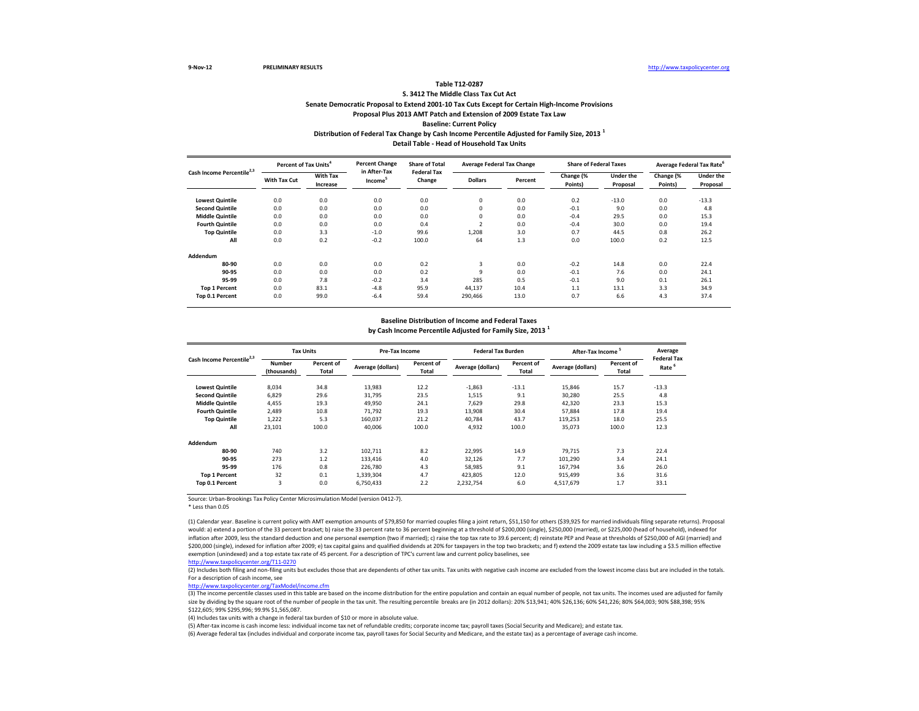### **Distribution of Federal Tax Change by Cash Income Percentile Adjusted for Family Size, 2013 <sup>1</sup> Detail Table - Head of Household Tax Units Table T12-0287 S. 3412 The Middle Class Tax Cut Act Senate Democratic Proposal to Extend 2001-10 Tax Cuts Except for Certain High-Income Provisions Proposal Plus 2013 AMT Patch and Extension of 2009 Estate Tax Law Baseline: Current Policy**

| Cash Income Percentile <sup>2,3</sup> |              | Percent of Tax Units <sup>4</sup> |                                     | <b>Percent Change</b><br><b>Share of Total</b><br><b>Federal Tax</b> | <b>Average Federal Tax Change</b> |         | <b>Share of Federal Taxes</b> |                       |                      | Average Federal Tax Rate <sup>6</sup> |
|---------------------------------------|--------------|-----------------------------------|-------------------------------------|----------------------------------------------------------------------|-----------------------------------|---------|-------------------------------|-----------------------|----------------------|---------------------------------------|
|                                       | With Tax Cut | With Tax<br>Increase              | in After-Tax<br>Income <sup>5</sup> | Change                                                               | <b>Dollars</b>                    | Percent | Change (%<br>Points)          | Under the<br>Proposal | Change (%<br>Points) | <b>Under the</b><br>Proposal          |
| <b>Lowest Quintile</b>                | 0.0          | 0.0                               | 0.0                                 | 0.0                                                                  | 0                                 | 0.0     | 0.2                           | $-13.0$               | 0.0                  | $-13.3$                               |
| <b>Second Quintile</b>                | 0.0          | 0.0                               | 0.0                                 | 0.0                                                                  | $\mathbf 0$                       | 0.0     | $-0.1$                        | 9.0                   | 0.0                  | 4.8                                   |
| <b>Middle Quintile</b>                | 0.0          | 0.0                               | 0.0                                 | 0.0                                                                  | $\mathbf 0$                       | 0.0     | $-0.4$                        | 29.5                  | 0.0                  | 15.3                                  |
| <b>Fourth Quintile</b>                | 0.0          | 0.0                               | 0.0                                 | 0.4                                                                  | $\sim$                            | 0.0     | $-0.4$                        | 30.0                  | 0.0                  | 19.4                                  |
| <b>Top Quintile</b>                   | 0.0          | 3.3                               | $-1.0$                              | 99.6                                                                 | 1,208                             | 3.0     | 0.7                           | 44.5                  | 0.8                  | 26.2                                  |
| All                                   | 0.0          | 0.2                               | $-0.2$                              | 100.0                                                                | 64                                | 1.3     | 0.0                           | 100.0                 | 0.2                  | 12.5                                  |
| Addendum                              |              |                                   |                                     |                                                                      |                                   |         |                               |                       |                      |                                       |
| 80-90                                 | 0.0          | 0.0                               | 0.0                                 | 0.2                                                                  | 3                                 | 0.0     | $-0.2$                        | 14.8                  | 0.0                  | 22.4                                  |
| 90-95                                 | 0.0          | 0.0                               | 0.0                                 | 0.2                                                                  | 9                                 | 0.0     | $-0.1$                        | 7.6                   | 0.0                  | 24.1                                  |
| 95-99                                 | 0.0          | 7.8                               | $-0.2$                              | 3.4                                                                  | 285                               | 0.5     | $-0.1$                        | 9.0                   | 0.1                  | 26.1                                  |
| <b>Top 1 Percent</b>                  | 0.0          | 83.1                              | $-4.8$                              | 95.9                                                                 | 44,137                            | 10.4    | 1.1                           | 13.1                  | 3.3                  | 34.9                                  |
| Top 0.1 Percent                       | 0.0          | 99.0                              | $-6.4$                              | 59.4                                                                 | 290,466                           | 13.0    | 0.7                           | 6.6                   | 4.3                  | 37.4                                  |

#### **Baseline Distribution of Income and Federal Taxes**

**by Cash Income Percentile Adjusted for Family Size, 2013 <sup>1</sup>**

| Cash Income Percentile <sup>2,3</sup> | <b>Tax Units</b>      |                     | Pre-Tax Income    |                     | <b>Federal Tax Burden</b> |                     | After-Tax Income <sup>5</sup> |                     | Average                                 |
|---------------------------------------|-----------------------|---------------------|-------------------|---------------------|---------------------------|---------------------|-------------------------------|---------------------|-----------------------------------------|
|                                       | Number<br>(thousands) | Percent of<br>Total | Average (dollars) | Percent of<br>Total | Average (dollars)         | Percent of<br>Total | Average (dollars)             | Percent of<br>Total | <b>Federal Tax</b><br>Rate <sup>6</sup> |
| <b>Lowest Quintile</b>                | 8,034                 | 34.8                | 13,983            | 12.2                | $-1,863$                  | $-13.1$             | 15,846                        | 15.7                | $-13.3$                                 |
| <b>Second Quintile</b>                | 6,829                 | 29.6                | 31,795            | 23.5                | 1,515                     | 9.1                 | 30,280                        | 25.5                | 4.8                                     |
| <b>Middle Quintile</b>                | 4,455                 | 19.3                | 49,950            | 24.1                | 7,629                     | 29.8                | 42,320                        | 23.3                | 15.3                                    |
| <b>Fourth Quintile</b>                | 2,489                 | 10.8                | 71,792            | 19.3                | 13,908                    | 30.4                | 57,884                        | 17.8                | 19.4                                    |
| <b>Top Quintile</b>                   | 1,222                 | 5.3                 | 160,037           | 21.2                | 40,784                    | 43.7                | 119,253                       | 18.0                | 25.5                                    |
| All                                   | 23,101                | 100.0               | 40,006            | 100.0               | 4,932                     | 100.0               | 35,073                        | 100.0               | 12.3                                    |
| Addendum                              |                       |                     |                   |                     |                           |                     |                               |                     |                                         |
| 80-90                                 | 740                   | 3.2                 | 102,711           | 8.2                 | 22,995                    | 14.9                | 79,715                        | 7.3                 | 22.4                                    |
| 90-95                                 | 273                   | 1.2                 | 133,416           | 4.0                 | 32,126                    | 7.7                 | 101,290                       | 3.4                 | 24.1                                    |
| 95-99                                 | 176                   | 0.8                 | 226,780           | 4.3                 | 58,985                    | 9.1                 | 167,794                       | 3.6                 | 26.0                                    |
| <b>Top 1 Percent</b>                  | 32                    | 0.1                 | 1,339,304         | 4.7                 | 423,805                   | 12.0                | 915,499                       | 3.6                 | 31.6                                    |
| Top 0.1 Percent                       | 3                     | 0.0                 | 6,750,433         | 2.2                 | 2,232,754                 | 6.0                 | 4,517,679                     | 1.7                 | 33.1                                    |

Source: Urban-Brookings Tax Policy Center Microsimulation Model (version 0412-7).

\* Less than 0.05

(1) Calendar year. Baseline is current policy with AMT exemption amounts of \$79,850 for married couples filing a joint return, \$51,150 for others (\$39,925 for married individuals filing separate returns). Proposal would: a) extend a portion of the 33 percent bracket; b) raise the 33 percent rate to 36 percent beginning at a threshold of \$200,000 (single), \$250,000 (married), or \$225,000 (head of household), indexed for inflation after 2009, less the standard deduction and one personal exemption (two if married); c) raise the top tax rate to 39.6 percent; d) reinstate PEP and Pease at thresholds of \$250,000 of AGI (married) and \$200,000 (single), indexed for inflation after 2009; e) tax capital gains and qualified dividends at 20% for taxpayers in the top two brackets; and f) extend the 2009 estate tax law including a \$3.5 million effective exemption (unindexed) and a top estate tax rate of 45 percent. For a description of TPC's current law and current policy baselines, see

[http://www.taxpolicycente](http://www.taxpolicycenter.org/T11-0270)r.org/T11-0270

(2) Includes both filing and non-filing units but excludes those that are dependents of other tax units. Tax units with negative cash income are excluded from the lowest income class but are included in the totals. For a description of cash income, see

[http://www.taxpolicycente](http://www.taxpolicycenter.org/TaxModel/income.cfm)r.org/TaxModel/income.cfm

(3) The income percentile classes used in this table are based on the income distribution for the entire population and contain an equal number of people, not tax units. The incomes used are adjusted for family size by dividing by the square root of the number of people in the tax unit. The resulting percentile breaks are (in 2012 dollars): 20% \$13,941; 40% \$26,136; 60% \$41,226; 80% \$64,003; 90% \$88,398; 95% \$122,605; 99% \$295,996; 99.9% \$1,565,087.

(4) Includes tax units with a change in federal tax burden of \$10 or more in absolute value.

(5) After-tax income is cash income less: individual income tax net of refundable credits; corporate income tax; payroll taxes (Social Security and Medicare); and estate tax.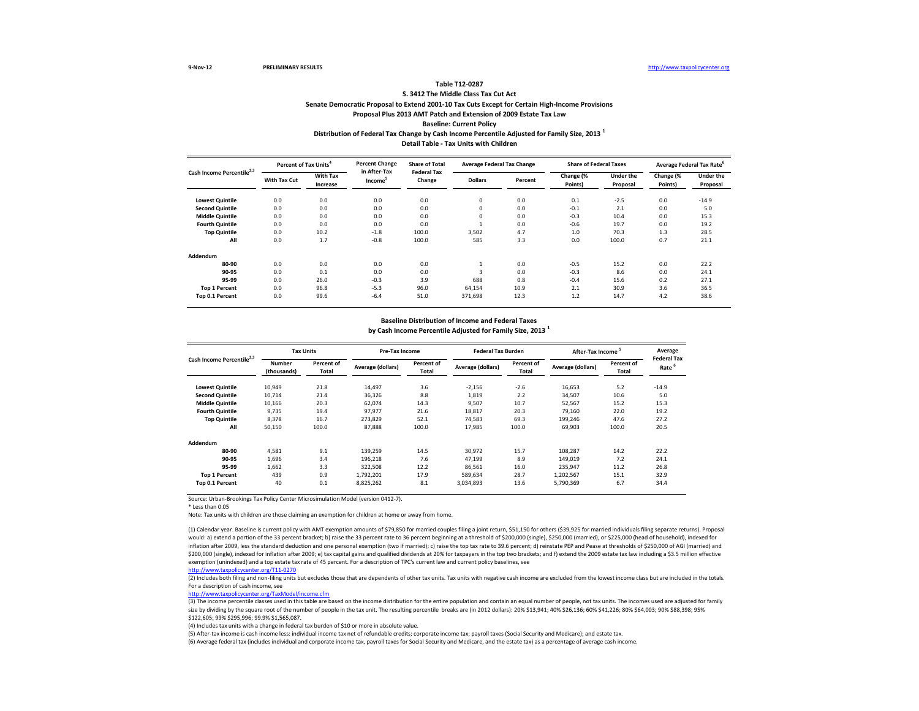### **Distribution of Federal Tax Change by Cash Income Percentile Adjusted for Family Size, 2013 <sup>1</sup> Detail Table - Tax Units with Children Table T12-0287 S. 3412 The Middle Class Tax Cut Act Senate Democratic Proposal to Extend 2001-10 Tax Cuts Except for Certain High-Income Provisions Proposal Plus 2013 AMT Patch and Extension of 2009 Estate Tax Law Baseline: Current Policy**

**Percent of Tax Units<sup>4</sup> Percent Change Share of Total** 

| Cash Income Percentile <sup>2,3</sup> | Percent of Tax Units <sup>4</sup> |                             | <b>Percent Change</b><br>in After-Tax | <b>Share of Total</b><br><b>Federal Tax</b> | <b>Average Federal Tax Change</b> |         | <b>Share of Federal Taxes</b> |                              |                      | Average Federal Tax Rate <sup>6</sup> |
|---------------------------------------|-----------------------------------|-----------------------------|---------------------------------------|---------------------------------------------|-----------------------------------|---------|-------------------------------|------------------------------|----------------------|---------------------------------------|
|                                       | With Tax Cut                      | <b>With Tax</b><br>Increase | Income <sup>5</sup>                   | Change                                      | <b>Dollars</b>                    | Percent | Change (%<br>Points)          | <b>Under the</b><br>Proposal | Change (%<br>Points) | <b>Under the</b><br>Proposal          |
| <b>Lowest Quintile</b>                | 0.0                               | 0.0                         | 0.0                                   | 0.0                                         | $\mathbf 0$                       | 0.0     | 0.1                           | $-2.5$                       | 0.0                  | $-14.9$                               |
| <b>Second Quintile</b>                | 0.0                               | 0.0                         | 0.0                                   | 0.0                                         | $^{\circ}$                        | 0.0     | $-0.1$                        | 2.1                          | 0.0                  | 5.0                                   |
| <b>Middle Quintile</b>                | 0.0                               | 0.0                         | 0.0                                   | 0.0                                         | $^{\circ}$                        | 0.0     | $-0.3$                        | 10.4                         | 0.0                  | 15.3                                  |
| <b>Fourth Quintile</b>                | 0.0                               | 0.0                         | 0.0                                   | 0.0                                         |                                   | 0.0     | $-0.6$                        | 19.7                         | 0.0                  | 19.2                                  |
| <b>Top Quintile</b>                   | 0.0                               | 10.2                        | $-1.8$                                | 100.0                                       | 3,502                             | 4.7     | 1.0                           | 70.3                         | 1.3                  | 28.5                                  |
| All                                   | 0.0                               | 1.7                         | $-0.8$                                | 100.0                                       | 585                               | 3.3     | 0.0                           | 100.0                        | 0.7                  | 21.1                                  |
| Addendum                              |                                   |                             |                                       |                                             |                                   |         |                               |                              |                      |                                       |
| 80-90                                 | 0.0                               | 0.0                         | 0.0                                   | 0.0                                         |                                   | 0.0     | $-0.5$                        | 15.2                         | 0.0                  | 22.2                                  |
| 90-95                                 | 0.0                               | 0.1                         | 0.0                                   | 0.0                                         | $\mathbf{a}$                      | 0.0     | $-0.3$                        | 8.6                          | 0.0                  | 24.1                                  |
| 95-99                                 | 0.0                               | 26.0                        | $-0.3$                                | 3.9                                         | 688                               | 0.8     | $-0.4$                        | 15.6                         | 0.2                  | 27.1                                  |
| <b>Top 1 Percent</b>                  | 0.0                               | 96.8                        | $-5.3$                                | 96.0                                        | 64,154                            | 10.9    | 2.1                           | 30.9                         | 3.6                  | 36.5                                  |
| Top 0.1 Percent                       | 0.0                               | 99.6                        | $-6.4$                                | 51.0                                        | 371,698                           | 12.3    | 1.2                           | 14.7                         | 4.2                  | 38.6                                  |

#### **Baseline Distribution of Income and Federal Taxes**

**by Cash Income Percentile Adjusted for Family Size, 2013 <sup>1</sup>**

| Cash Income Percentile <sup>2,3</sup> | <b>Tax Units</b>      |                     | Pre-Tax Income    |                     | <b>Federal Tax Burden</b> |                     | After-Tax Income <sup>5</sup> |                     | Average                                 |
|---------------------------------------|-----------------------|---------------------|-------------------|---------------------|---------------------------|---------------------|-------------------------------|---------------------|-----------------------------------------|
|                                       | Number<br>(thousands) | Percent of<br>Total | Average (dollars) | Percent of<br>Total | Average (dollars)         | Percent of<br>Total | Average (dollars)             | Percent of<br>Total | <b>Federal Tax</b><br>Rate <sup>6</sup> |
| <b>Lowest Quintile</b>                | 10,949                | 21.8                | 14,497            | 3.6                 | $-2,156$                  | $-2.6$              | 16,653                        | 5.2                 | $-14.9$                                 |
| <b>Second Quintile</b>                | 10,714                | 21.4                | 36,326            | 8.8                 | 1,819                     | 2.2                 | 34,507                        | 10.6                | 5.0                                     |
| <b>Middle Quintile</b>                | 10,166                | 20.3                | 62,074            | 14.3                | 9,507                     | 10.7                | 52,567                        | 15.2                | 15.3                                    |
| <b>Fourth Quintile</b>                | 9,735                 | 19.4                | 97,977            | 21.6                | 18,817                    | 20.3                | 79,160                        | 22.0                | 19.2                                    |
| <b>Top Quintile</b>                   | 8,378                 | 16.7                | 273,829           | 52.1                | 74,583                    | 69.3                | 199,246                       | 47.6                | 27.2                                    |
| All                                   | 50,150                | 100.0               | 87,888            | 100.0               | 17,985                    | 100.0               | 69,903                        | 100.0               | 20.5                                    |
| Addendum                              |                       |                     |                   |                     |                           |                     |                               |                     |                                         |
| 80-90                                 | 4,581                 | 9.1                 | 139,259           | 14.5                | 30,972                    | 15.7                | 108,287                       | 14.2                | 22.2                                    |
| 90-95                                 | 1,696                 | 3.4                 | 196,218           | 7.6                 | 47,199                    | 8.9                 | 149,019                       | 7.2                 | 24.1                                    |
| 95-99                                 | 1,662                 | 3.3                 | 322,508           | 12.2                | 86,561                    | 16.0                | 235,947                       | 11.2                | 26.8                                    |
| <b>Top 1 Percent</b>                  | 439                   | 0.9                 | 1,792,201         | 17.9                | 589,634                   | 28.7                | 1,202,567                     | 15.1                | 32.9                                    |
| Top 0.1 Percent                       | 40                    | 0.1                 | 8,825,262         | 8.1                 | 3,034,893                 | 13.6                | 5,790,369                     | 6.7                 | 34.4                                    |

Source: Urban-Brookings Tax Policy Center Microsimulation Model (version 0412-7).

\* Less than 0.05

Note: Tax units with children are those claiming an exemption for children at home or away from home.

(1) Calendar year. Baseline is current policy with AMT exemption amounts of \$79,850 for married couples filing a joint return, \$51,150 for others (\$39,925 for married individuals filing separate returns). Proposal would: a) extend a portion of the 33 percent bracket; b) raise the 33 percent rate to 36 percent beginning at a threshold of \$200,000 (single), \$250,000 (married), or \$225,000 (head of household), indexed for inflation after 2009, less the standard deduction and one personal exemption (two if married); c) raise the top tax rate to 39.6 percent; d) reinstate PEP and Pease at thresholds of \$250,000 of AGI (married) and \$200,000 (single), indexed for inflation after 2009; e) tax capital gains and qualified dividends at 20% for taxpayers in the top two brackets; and f) extend the 2009 estate tax law including a \$3.5 million effective exemption (unindexed) and a top estate tax rate of 45 percent. For a description of TPC's current law and current policy baselines, see

[http://www.taxpolicycente](http://www.taxpolicycenter.org/T11-0270)r.org/T11-0270

(2) Includes both filing and non-filing units but excludes those that are dependents of other tax units. Tax units with negative cash income are excluded from the lowest income class but are included in the totals. For a description of cash income, see

[http://www.taxpolicycente](http://www.taxpolicycenter.org/TaxModel/income.cfm)r.org/TaxModel/income.cfm

(3) The income percentile classes used in this table are based on the income distribution for the entire population and contain an equal number of people, not tax units. The incomes used are adjusted for family size by dividing by the square root of the number of people in the tax unit. The resulting percentile breaks are (in 2012 dollars): 20% \$13,941; 40% \$26,136; 60% \$41,226; 80% \$64,003; 90% \$88,398; 95% \$122,605; 99% \$295,996; 99.9% \$1,565,087.

(4) Includes tax units with a change in federal tax burden of \$10 or more in absolute value.

(5) After-tax income is cash income less: individual income tax net of refundable credits; corporate income tax; payroll taxes (Social Security and Medicare); and estate tax.